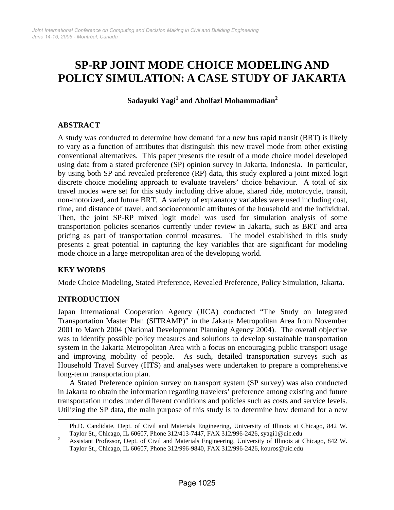# **SP-RP JOINT MODE CHOICE MODELING AND POLICY SIMULATION: A CASE STUDY OF JAKARTA**

 $\mathbf S$ adayuki  $\mathbf Y$ agi $^1$  and Abolfazl Mohammadian $^2$ 

# **ABSTRACT**

A study was conducted to determine how demand for a new bus rapid transit (BRT) is likely to vary as a function of attributes that distinguish this new travel mode from other existing conventional alternatives. This paper presents the result of a mode choice model developed using data from a stated preference (SP) opinion survey in Jakarta, Indonesia. In particular, by using both SP and revealed preference (RP) data, this study explored a joint mixed logit discrete choice modeling approach to evaluate travelers' choice behaviour. A total of six travel modes were set for this study including drive alone, shared ride, motorcycle, transit, non-motorized, and future BRT. A variety of explanatory variables were used including cost, time, and distance of travel, and socioeconomic attributes of the household and the individual. Then, the joint SP-RP mixed logit model was used for simulation analysis of some transportation policies scenarios currently under review in Jakarta, such as BRT and area pricing as part of transportation control measures. The model established in this study presents a great potential in capturing the key variables that are significant for modeling mode choice in a large metropolitan area of the developing world.

# **KEY WORDS**

Mode Choice Modeling, Stated Preference, Revealed Preference, Policy Simulation, Jakarta.

# **INTRODUCTION**

Japan International Cooperation Agency (JICA) conducted "The Study on Integrated Transportation Master Plan (SITRAMP)" in the Jakarta Metropolitan Area from November 2001 to March 2004 (National Development Planning Agency 2004). The overall objective was to identify possible policy measures and solutions to develop sustainable transportation system in the Jakarta Metropolitan Area with a focus on encouraging public transport usage and improving mobility of people. As such, detailed transportation surveys such as Household Travel Survey (HTS) and analyses were undertaken to prepare a comprehensive long-term transportation plan.

A Stated Preference opinion survey on transport system (SP survey) was also conducted in Jakarta to obtain the information regarding travelers' preference among existing and future transportation modes under different conditions and policies such as costs and service levels. Utilizing the SP data, the main purpose of this study is to determine how demand for a new

 $\frac{1}{1}$  Ph.D. Candidate, Dept. of Civil and Materials Engineering, University of Illinois at Chicago, 842 W. Taylor St., Chicago, IL 60607, Phone 312/413-7447, FAX 312/996-2426, syagi1@uic.edu<br>2. Assistant Professor, Dapt. of Civil and Materials Engineering, University of Illinois at 6

Assistant Professor, Dept. of Civil and Materials Engineering, University of Illinois at Chicago, 842 W. Taylor St., Chicago, IL 60607, Phone 312/996-9840, FAX 312/996-2426, kouros@uic.edu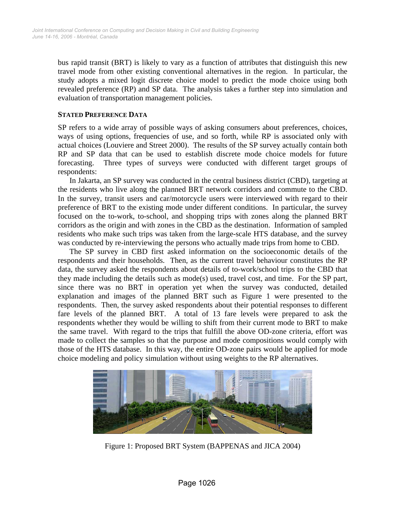bus rapid transit (BRT) is likely to vary as a function of attributes that distinguish this new travel mode from other existing conventional alternatives in the region. In particular, the study adopts a mixed logit discrete choice model to predict the mode choice using both revealed preference (RP) and SP data. The analysis takes a further step into simulation and evaluation of transportation management policies.

#### **STATED PREFERENCE DATA**

SP refers to a wide array of possible ways of asking consumers about preferences, choices, ways of using options, frequencies of use, and so forth, while RP is associated only with actual choices (Louviere and Street 2000). The results of the SP survey actually contain both RP and SP data that can be used to establish discrete mode choice models for future forecasting. Three types of surveys were conducted with different target groups of respondents:

In Jakarta, an SP survey was conducted in the central business district (CBD), targeting at the residents who live along the planned BRT network corridors and commute to the CBD. In the survey, transit users and car/motorcycle users were interviewed with regard to their preference of BRT to the existing mode under different conditions. In particular, the survey focused on the to-work, to-school, and shopping trips with zones along the planned BRT corridors as the origin and with zones in the CBD as the destination. Information of sampled residents who make such trips was taken from the large-scale HTS database, and the survey was conducted by re-interviewing the persons who actually made trips from home to CBD.

The SP survey in CBD first asked information on the socioeconomic details of the respondents and their households. Then, as the current travel behaviour constitutes the RP data, the survey asked the respondents about details of to-work/school trips to the CBD that they made including the details such as mode(s) used, travel cost, and time. For the SP part, since there was no BRT in operation yet when the survey was conducted, detailed explanation and images of the planned BRT such as Figure 1 were presented to the respondents. Then, the survey asked respondents about their potential responses to different fare levels of the planned BRT. A total of 13 fare levels were prepared to ask the respondents whether they would be willing to shift from their current mode to BRT to make the same travel. With regard to the trips that fulfill the above OD-zone criteria, effort was made to collect the samples so that the purpose and mode compositions would comply with those of the HTS database. In this way, the entire OD-zone pairs would be applied for mode choice modeling and policy simulation without using weights to the RP alternatives.



Figure 1: Proposed BRT System (BAPPENAS and JICA 2004)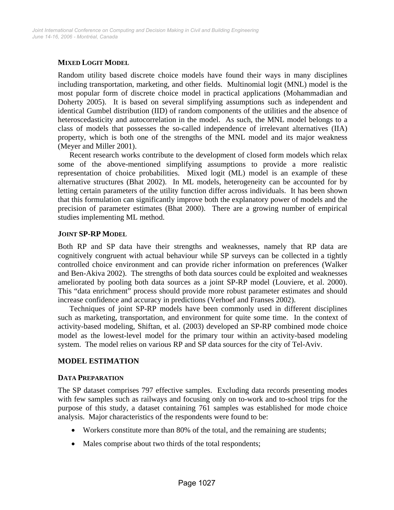# **MIXED LOGIT MODEL**

Random utility based discrete choice models have found their ways in many disciplines including transportation, marketing, and other fields. Multinomial logit (MNL) model is the most popular form of discrete choice model in practical applications (Mohammadian and Doherty 2005). It is based on several simplifying assumptions such as independent and identical Gumbel distribution (IID) of random components of the utilities and the absence of heteroscedasticity and autocorrelation in the model. As such, the MNL model belongs to a class of models that possesses the so-called independence of irrelevant alternatives (IIA) property, which is both one of the strengths of the MNL model and its major weakness (Meyer and Miller 2001).

Recent research works contribute to the development of closed form models which relax some of the above-mentioned simplifying assumptions to provide a more realistic representation of choice probabilities. Mixed logit (ML) model is an example of these alternative structures (Bhat 2002). In ML models, heterogeneity can be accounted for by letting certain parameters of the utility function differ across individuals. It has been shown that this formulation can significantly improve both the explanatory power of models and the precision of parameter estimates (Bhat 2000). There are a growing number of empirical studies implementing ML method.

## **JOINT SP-RP MODEL**

Both RP and SP data have their strengths and weaknesses, namely that RP data are cognitively congruent with actual behaviour while SP surveys can be collected in a tightly controlled choice environment and can provide richer information on preferences (Walker and Ben-Akiva 2002). The strengths of both data sources could be exploited and weaknesses ameliorated by pooling both data sources as a joint SP-RP model (Louviere, et al. 2000). This "data enrichment" process should provide more robust parameter estimates and should increase confidence and accuracy in predictions (Verhoef and Franses 2002).

Techniques of joint SP-RP models have been commonly used in different disciplines such as marketing, transportation, and environment for quite some time. In the context of activity-based modeling, Shiftan, et al. (2003) developed an SP-RP combined mode choice model as the lowest-level model for the primary tour within an activity-based modeling system. The model relies on various RP and SP data sources for the city of Tel-Aviv.

# **MODEL ESTIMATION**

#### **DATA PREPARATION**

The SP dataset comprises 797 effective samples. Excluding data records presenting modes with few samples such as railways and focusing only on to-work and to-school trips for the purpose of this study, a dataset containing 761 samples was established for mode choice analysis. Major characteristics of the respondents were found to be:

- Workers constitute more than 80% of the total, and the remaining are students;
- Males comprise about two thirds of the total respondents;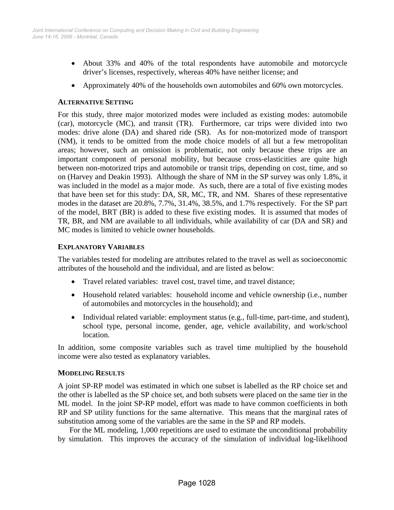- About 33% and 40% of the total respondents have automobile and motorcycle driver's licenses, respectively, whereas 40% have neither license; and
- Approximately 40% of the households own automobiles and 60% own motorcycles.

#### **ALTERNATIVE SETTING**

For this study, three major motorized modes were included as existing modes: automobile (car), motorcycle (MC), and transit (TR). Furthermore, car trips were divided into two modes: drive alone (DA) and shared ride (SR). As for non-motorized mode of transport (NM), it tends to be omitted from the mode choice models of all but a few metropolitan areas; however, such an omission is problematic, not only because these trips are an important component of personal mobility, but because cross-elasticities are quite high between non-motorized trips and automobile or transit trips, depending on cost, time, and so on (Harvey and Deakin 1993). Although the share of NM in the SP survey was only 1.8%, it was included in the model as a major mode. As such, there are a total of five existing modes that have been set for this study: DA, SR, MC, TR, and NM. Shares of these representative modes in the dataset are 20.8%, 7.7%, 31.4%, 38.5%, and 1.7% respectively. For the SP part of the model, BRT (BR) is added to these five existing modes. It is assumed that modes of TR, BR, and NM are available to all individuals, while availability of car (DA and SR) and MC modes is limited to vehicle owner households.

#### **EXPLANATORY VARIABLES**

The variables tested for modeling are attributes related to the travel as well as socioeconomic attributes of the household and the individual, and are listed as below:

- Travel related variables: travel cost, travel time, and travel distance;
- Household related variables: household income and vehicle ownership (i.e., number of automobiles and motorcycles in the household); and
- Individual related variable: employment status (e.g., full-time, part-time, and student), school type, personal income, gender, age, vehicle availability, and work/school location.

In addition, some composite variables such as travel time multiplied by the household income were also tested as explanatory variables.

#### **MODELING RESULTS**

A joint SP-RP model was estimated in which one subset is labelled as the RP choice set and the other is labelled as the SP choice set, and both subsets were placed on the same tier in the ML model. In the joint SP-RP model, effort was made to have common coefficients in both RP and SP utility functions for the same alternative. This means that the marginal rates of substitution among some of the variables are the same in the SP and RP models.

For the ML modeling, 1,000 repetitions are used to estimate the unconditional probability by simulation. This improves the accuracy of the simulation of individual log-likelihood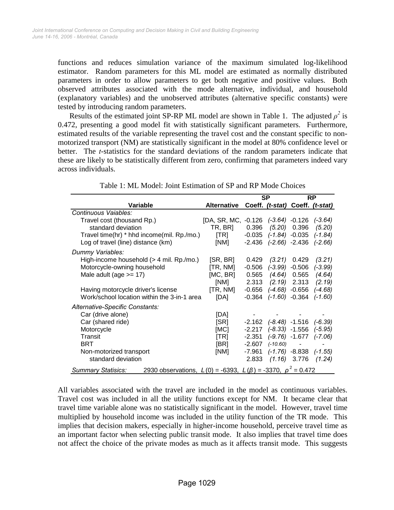functions and reduces simulation variance of the maximum simulated log-likelihood estimator. Random parameters for this ML model are estimated as normally distributed parameters in order to allow parameters to get both negative and positive values. Both observed attributes associated with the mode alternative, individual, and household (explanatory variables) and the unobserved attributes (alternative specific constants) were tested by introducing random parameters.

Results of the estimated joint SP-RP ML model are shown in Table 1. The adjusted  $\rho^2$  is 0.472, presenting a good model fit with statistically significant parameters. Furthermore, estimated results of the variable representing the travel cost and the constant specific to nonmotorized transport (NM) are statistically significant in the model at 80% confidence level or better. The *t*-statistics for the standard deviations of the random parameters indicate that these are likely to be statistically different from zero, confirming that parameters indeed vary across individuals.

|                                                                                                        |                                     | <b>SP</b> |                                 | <b>RP</b>                |                            |
|--------------------------------------------------------------------------------------------------------|-------------------------------------|-----------|---------------------------------|--------------------------|----------------------------|
| <b>Variable</b>                                                                                        | <b>Alternative</b>                  |           | Coeff. (t-stat) Coeff. (t-stat) |                          |                            |
| Continuous Vaiables:                                                                                   |                                     |           |                                 |                          |                            |
| Travel cost (thousand Rp.)                                                                             | [DA, SR, MC, -0.126 (-3.64) -0.126  |           |                                 |                          | $(-3.64)$                  |
| standard deviation                                                                                     | TR, BR]                             | 0.396     | (5.20)                          | 0.396                    | (5.20)                     |
| Travel time(hr) * hhd income(mil. Rp./mo.)                                                             | $\left[\mathsf{T}\mathsf{R}\right]$ | $-0.035$  | $(-1.84) -0.035$                |                          | $(-1.84)$                  |
| Log of travel (line) distance (km)                                                                     | [NM]                                | $-2.436$  | $(-2.66) -2.436$                |                          | $(-2.66)$                  |
| Dummy Variables:                                                                                       |                                     |           |                                 |                          |                            |
| High-income household (> 4 mil. Rp./mo.)                                                               | [SR, BR]                            | 0.429     | (3.21)                          | 0.429                    | (3.21)                     |
| Motorcycle-owning household                                                                            | [TR, NM]                            | $-0.506$  | $(-3.99)$                       | $-0.506$                 | $(-3.99)$                  |
| Male adult (age $>= 17$ )                                                                              | [MC, BR]                            | 0.565     | (4.64)                          | 0.565                    | (4.64)                     |
|                                                                                                        | [NM]                                | 2.313     |                                 | $(2.19)$ 2.313           | (2.19)                     |
| Having motorcycle driver's license                                                                     | [TR, NM]                            | -0.656    | (-4.68) -0.656                  |                          | $(-4.68)$                  |
| Work/school location within the 3-in-1 area                                                            | [DA]                                | $-0.364$  | $(-1.60) -0.364$                |                          | $(-1.60)$                  |
| Alternative-Specific Constants:                                                                        |                                     |           |                                 |                          |                            |
| Car (drive alone)                                                                                      | [DA]                                |           |                                 |                          |                            |
| Car (shared ride)                                                                                      | [SR]                                |           | $-2.162$ $(-8.48)$ $-1.516$     |                          | $(-6.39)$                  |
| Motorcycle                                                                                             | [MC]                                | $-2.217$  | $(-8.33)$ $-1.556$ $(-5.95)$    |                          |                            |
| Transit                                                                                                | [TR]                                | $-2.351$  |                                 |                          | $(-9.76) -1.677$ $(-7.06)$ |
| <b>BRT</b>                                                                                             | [BR]                                | $-2.607$  | $(-10.60)$                      | $\overline{\phantom{a}}$ |                            |
| Non-motorized transport                                                                                | [NM]                                | -7.961    |                                 |                          | $(-1.76) -8.838$ $(-1.55)$ |
| standard deviation                                                                                     |                                     | 2.833     |                                 | $(1.16)$ 3.776           | (1.24)                     |
| 2930 observations, $L(0) = -6393$ , $L(\beta) = -3370$ , $\rho^2 = 0.472$<br><b>Summary Statisics:</b> |                                     |           |                                 |                          |                            |

Table 1: ML Model: Joint Estimation of SP and RP Mode Choices

All variables associated with the travel are included in the model as continuous variables. Travel cost was included in all the utility functions except for NM. It became clear that travel time variable alone was no statistically significant in the model. However, travel time multiplied by household income was included in the utility function of the TR mode. This implies that decision makers, especially in higher-income household, perceive travel time as an important factor when selecting public transit mode. It also implies that travel time does not affect the choice of the private modes as much as it affects transit mode. This suggests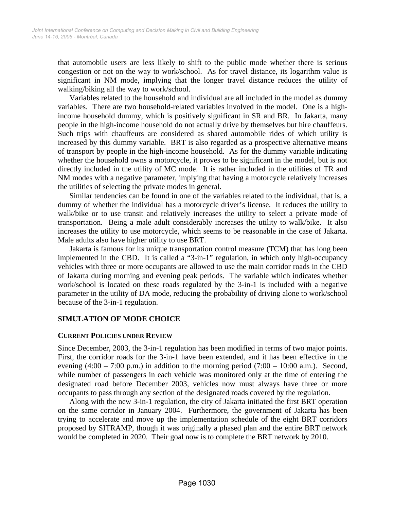that automobile users are less likely to shift to the public mode whether there is serious congestion or not on the way to work/school. As for travel distance, its logarithm value is significant in NM mode, implying that the longer travel distance reduces the utility of walking/biking all the way to work/school.

Variables related to the household and individual are all included in the model as dummy variables. There are two household-related variables involved in the model. One is a highincome household dummy, which is positively significant in SR and BR. In Jakarta, many people in the high-income household do not actually drive by themselves but hire chauffeurs. Such trips with chauffeurs are considered as shared automobile rides of which utility is increased by this dummy variable. BRT is also regarded as a prospective alternative means of transport by people in the high-income household. As for the dummy variable indicating whether the household owns a motorcycle, it proves to be significant in the model, but is not directly included in the utility of MC mode. It is rather included in the utilities of TR and NM modes with a negative parameter, implying that having a motorcycle relatively increases the utilities of selecting the private modes in general.

Similar tendencies can be found in one of the variables related to the individual, that is, a dummy of whether the individual has a motorcycle driver's license. It reduces the utility to walk/bike or to use transit and relatively increases the utility to select a private mode of transportation. Being a male adult considerably increases the utility to walk/bike. It also increases the utility to use motorcycle, which seems to be reasonable in the case of Jakarta. Male adults also have higher utility to use BRT.

Jakarta is famous for its unique transportation control measure (TCM) that has long been implemented in the CBD. It is called a "3-in-1" regulation, in which only high-occupancy vehicles with three or more occupants are allowed to use the main corridor roads in the CBD of Jakarta during morning and evening peak periods. The variable which indicates whether work/school is located on these roads regulated by the 3-in-1 is included with a negative parameter in the utility of DA mode, reducing the probability of driving alone to work/school because of the 3-in-1 regulation.

# **SIMULATION OF MODE CHOICE**

#### **CURRENT POLICIES UNDER REVIEW**

Since December, 2003, the 3-in-1 regulation has been modified in terms of two major points. First, the corridor roads for the 3-in-1 have been extended, and it has been effective in the evening  $(4:00 - 7:00 \text{ p.m.})$  in addition to the morning period  $(7:00 - 10:00 \text{ a.m.})$ . Second, while number of passengers in each vehicle was monitored only at the time of entering the designated road before December 2003, vehicles now must always have three or more occupants to pass through any section of the designated roads covered by the regulation.

Along with the new 3-in-1 regulation, the city of Jakarta initiated the first BRT operation on the same corridor in January 2004. Furthermore, the government of Jakarta has been trying to accelerate and move up the implementation schedule of the eight BRT corridors proposed by SITRAMP, though it was originally a phased plan and the entire BRT network would be completed in 2020. Their goal now is to complete the BRT network by 2010.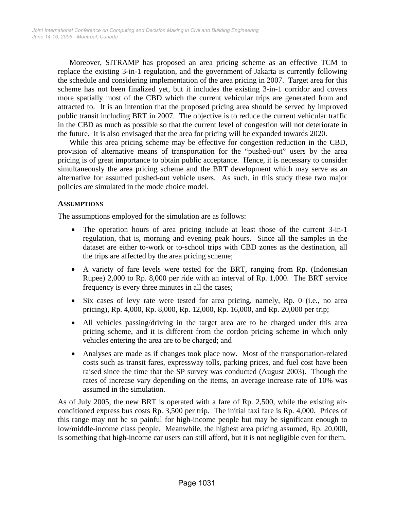Moreover, SITRAMP has proposed an area pricing scheme as an effective TCM to replace the existing 3-in-1 regulation, and the government of Jakarta is currently following the schedule and considering implementation of the area pricing in 2007. Target area for this scheme has not been finalized yet, but it includes the existing 3-in-1 corridor and covers more spatially most of the CBD which the current vehicular trips are generated from and attracted to. It is an intention that the proposed pricing area should be served by improved public transit including BRT in 2007. The objective is to reduce the current vehicular traffic in the CBD as much as possible so that the current level of congestion will not deteriorate in the future. It is also envisaged that the area for pricing will be expanded towards 2020.

While this area pricing scheme may be effective for congestion reduction in the CBD, provision of alternative means of transportation for the "pushed-out" users by the area pricing is of great importance to obtain public acceptance. Hence, it is necessary to consider simultaneously the area pricing scheme and the BRT development which may serve as an alternative for assumed pushed-out vehicle users. As such, in this study these two major policies are simulated in the mode choice model.

## **ASSUMPTIONS**

The assumptions employed for the simulation are as follows:

- The operation hours of area pricing include at least those of the current 3-in-1 regulation, that is, morning and evening peak hours. Since all the samples in the dataset are either to-work or to-school trips with CBD zones as the destination, all the trips are affected by the area pricing scheme;
- A variety of fare levels were tested for the BRT, ranging from Rp. (Indonesian Rupee) 2,000 to Rp. 8,000 per ride with an interval of Rp. 1,000. The BRT service frequency is every three minutes in all the cases;
- Six cases of levy rate were tested for area pricing, namely, Rp. 0 (i.e., no area pricing), Rp. 4,000, Rp. 8,000, Rp. 12,000, Rp. 16,000, and Rp. 20,000 per trip;
- All vehicles passing/driving in the target area are to be charged under this area pricing scheme, and it is different from the cordon pricing scheme in which only vehicles entering the area are to be charged; and
- Analyses are made as if changes took place now. Most of the transportation-related costs such as transit fares, expressway tolls, parking prices, and fuel cost have been raised since the time that the SP survey was conducted (August 2003). Though the rates of increase vary depending on the items, an average increase rate of 10% was assumed in the simulation.

As of July 2005, the new BRT is operated with a fare of Rp. 2,500, while the existing airconditioned express bus costs Rp. 3,500 per trip. The initial taxi fare is Rp. 4,000. Prices of this range may not be so painful for high-income people but may be significant enough to low/middle-income class people. Meanwhile, the highest area pricing assumed, Rp. 20,000, is something that high-income car users can still afford, but it is not negligible even for them.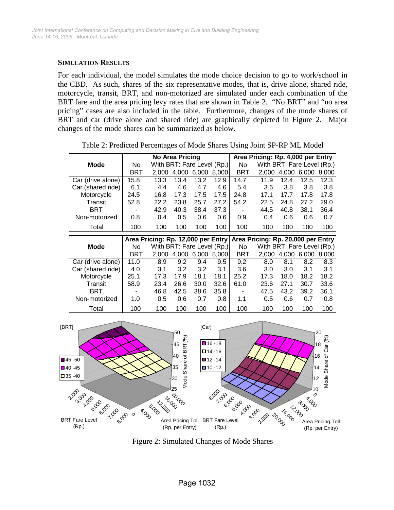#### **SIMULATION RESULTS**

For each individual, the model simulates the mode choice decision to go to work/school in the CBD. As such, shares of the six representative modes, that is, drive alone, shared ride, motorcycle, transit, BRT, and non-motorized are simulated under each combination of the BRT fare and the area pricing levy rates that are shown in Table 2. "No BRT" and "no area pricing" cases are also included in the table. Furthermore, changes of the mode shares of BRT and car (drive alone and shared ride) are graphically depicted in Figure 2. Major changes of the mode shares can be summarized as below.

**Mode** | No With BRT: Fare Level (Rp.) | No BRT 2,000 4,000 6,000 8,000 BRT 2,000 4,000 6,000 8,000 Car (drive alone) 15.8 13.3 13.4 13.2 12.9 14.7 11.9 12.4 12.5 12.3 Car (shared ride) 6.1 4.4 4.6 4.7 4.6 5.4 3.6 3.8 3.8 3.8 Motorcycle 24.5 16.8 17.3 17.5 17.5 24.8 17.1 17.7 17.8 17.8 Transit 52.8 22.2 23.8 25.7 27.2 54.2 22.5 24.8 27.2 29.0 BRT - 42.9 40.3 38.4 37.3 - 44.5 40.8 38.1 36.4 Non-motorized 0.8 0.4 0.5 0.6 0.6 0.9 0.4 0.6 0.6 0.7 Total 100 100 100 100 100 100 100 100 100 100 **Mode** | No With BRT: Fare Level (Rp.) | No BRT 2,000 4,000 6,000 8,000 BRT 2,000 4,000 6,000 8,000 Car (drive alone) 11.0 8.9 9.2 9.4 9.5 9.2 8.0 8.1 8.2 8.3 Car (shared ride) 4.0 3.1 3.2 3.2 3.1 3.6 3.0 3.0 3.1 3.1 Motorcycle 25.1 17.3 17.9 18.1 18.1 25.2 17.3 18.0 18.2 18.2 Transit 58.9 23.4 26.6 30.0 32.6 61.0 23.6 27.1 30.7 33.6 BRT - 46.8 42.5 38.6 35.8 - 47.5 43.2 39.2 36.1 Non-motorized 1.0 0.5 0.6 0.7 0.8 1.1 0.5 0.6 0.7 0.8 Total 100 100 100 100 100 100 100 100 100 100 **Area Pricing: Rp. 4,000 per Entry Area Pricing: Rp. 12,000 per Entry Area Pricing: Rp. 20,000 per Entry No Area Pricing** With BRT: Fare Level (Rp.) With BRT: Fare Level (Rp.)

Table 2: Predicted Percentages of Mode Shares Using Joint SP-RP ML Model



Figure 2: Simulated Changes of Mode Shares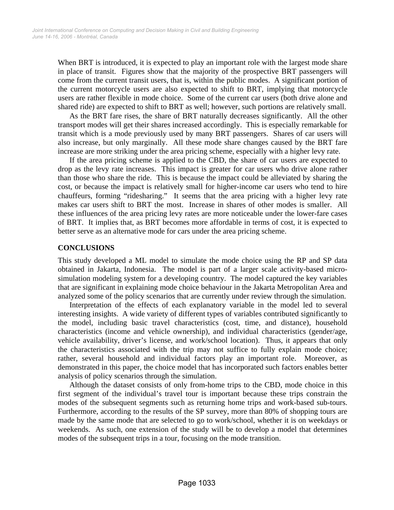When BRT is introduced, it is expected to play an important role with the largest mode share in place of transit. Figures show that the majority of the prospective BRT passengers will come from the current transit users, that is, within the public modes. A significant portion of the current motorcycle users are also expected to shift to BRT, implying that motorcycle users are rather flexible in mode choice. Some of the current car users (both drive alone and shared ride) are expected to shift to BRT as well; however, such portions are relatively small.

As the BRT fare rises, the share of BRT naturally decreases significantly. All the other transport modes will get their shares increased accordingly. This is especially remarkable for transit which is a mode previously used by many BRT passengers. Shares of car users will also increase, but only marginally. All these mode share changes caused by the BRT fare increase are more striking under the area pricing scheme, especially with a higher levy rate.

If the area pricing scheme is applied to the CBD, the share of car users are expected to drop as the levy rate increases. This impact is greater for car users who drive alone rather than those who share the ride. This is because the impact could be alleviated by sharing the cost, or because the impact is relatively small for higher-income car users who tend to hire chauffeurs, forming "ridesharing." It seems that the area pricing with a higher levy rate makes car users shift to BRT the most. Increase in shares of other modes is smaller. All these influences of the area pricing levy rates are more noticeable under the lower-fare cases of BRT. It implies that, as BRT becomes more affordable in terms of cost, it is expected to better serve as an alternative mode for cars under the area pricing scheme.

## **CONCLUSIONS**

This study developed a ML model to simulate the mode choice using the RP and SP data obtained in Jakarta, Indonesia. The model is part of a larger scale activity-based microsimulation modeling system for a developing country. The model captured the key variables that are significant in explaining mode choice behaviour in the Jakarta Metropolitan Area and analyzed some of the policy scenarios that are currently under review through the simulation.

Interpretation of the effects of each explanatory variable in the model led to several interesting insights. A wide variety of different types of variables contributed significantly to the model, including basic travel characteristics (cost, time, and distance), household characteristics (income and vehicle ownership), and individual characteristics (gender/age, vehicle availability, driver's license, and work/school location). Thus, it appears that only the characteristics associated with the trip may not suffice to fully explain mode choice; rather, several household and individual factors play an important role. Moreover, as demonstrated in this paper, the choice model that has incorporated such factors enables better analysis of policy scenarios through the simulation.

Although the dataset consists of only from-home trips to the CBD, mode choice in this first segment of the individual's travel tour is important because these trips constrain the modes of the subsequent segments such as returning home trips and work-based sub-tours. Furthermore, according to the results of the SP survey, more than 80% of shopping tours are made by the same mode that are selected to go to work/school, whether it is on weekdays or weekends. As such, one extension of the study will be to develop a model that determines modes of the subsequent trips in a tour, focusing on the mode transition.